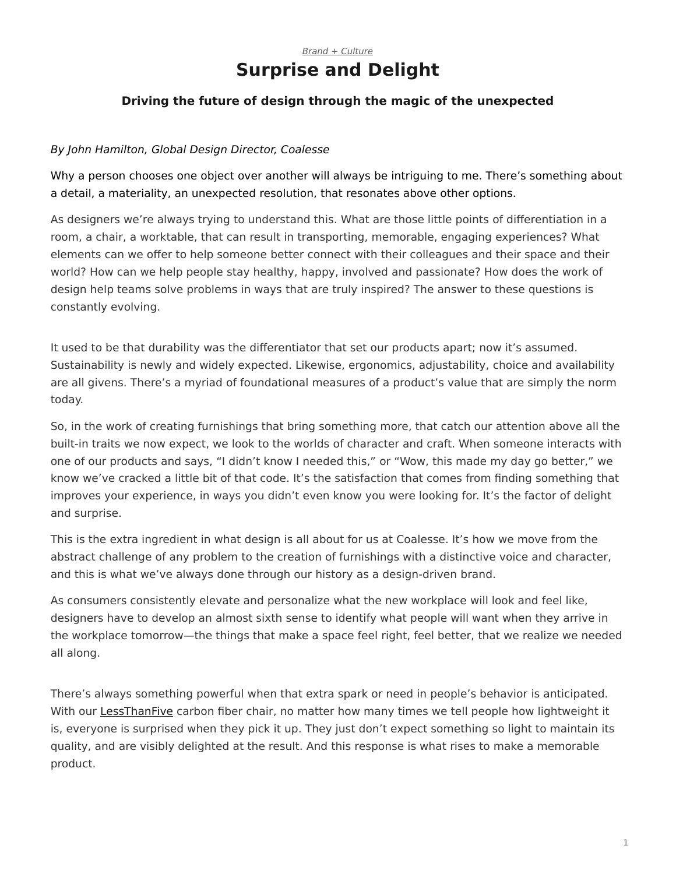## *[Brand + Culture](https://www.steelcase.com/research/topics/brand-culture/)* **Surprise and Delight**

## <span id="page-0-0"></span>**Driving the future of design through the magic of the unexpected**

## *By John Hamilton, Global Design Director, Coalesse*

Why a person chooses one object over another will always be intriguing to me. There's something about a detail, a materiality, an unexpected resolution, that resonates above other options.

As designers we're always trying to understand this. What are those little points of differentiation in a room, a chair, a worktable, that can result in transporting, memorable, engaging experiences? What elements can we offer to help someone better connect with their colleagues and their space and their world? How can we help people stay healthy, happy, involved and passionate? How does the work of design help teams solve problems in ways that are truly inspired? The answer to these questions is constantly evolving.

It used to be that durability was the differentiator that set our products apart; now it's assumed. Sustainability is newly and widely expected. Likewise, ergonomics, adjustability, choice and availability are all givens. There's a myriad of foundational measures of a product's value that are simply the norm today.

So, in the work of creating furnishings that bring something more, that catch our attention above all the built-in traits we now expect, we look to the worlds of character and craft. When someone interacts with one of our products and says, "I didn't know I needed this," or "Wow, this made my day go better," we know we've cracked a little bit of that code. It's the satisfaction that comes from finding something that improves your experience, in ways you didn't even know you were looking for. It's the factor of delight and surprise.

This is the extra ingredient in what design is all about for us at Coalesse. It's how we move from the abstract challenge of any problem to the creation of furnishings with a distinctive voice and character, and this is what we've always done through our history as a design-driven brand.

As consumers consistently elevate and personalize what the new workplace will look and feel like, designers have to develop an almost sixth sense to identify what people will want when they arrive in the workplace tomorrow—the things that make a space feel right, feel better, that we realize we needed all along.

There's always something powerful when that extra spark or need in people's behavior is anticipated. With our [LessThanFive](https://www.steelcase.com/products/side-guest-chairs/lessthanfive-chair/) carbon fiber chair, no matter how many times we tell people how lightweight it is, everyone is surprised when they pick it up. They just don't expect something so light to maintain its quality, and are visibly delighted at the result. And this response is what rises to make a memorable product.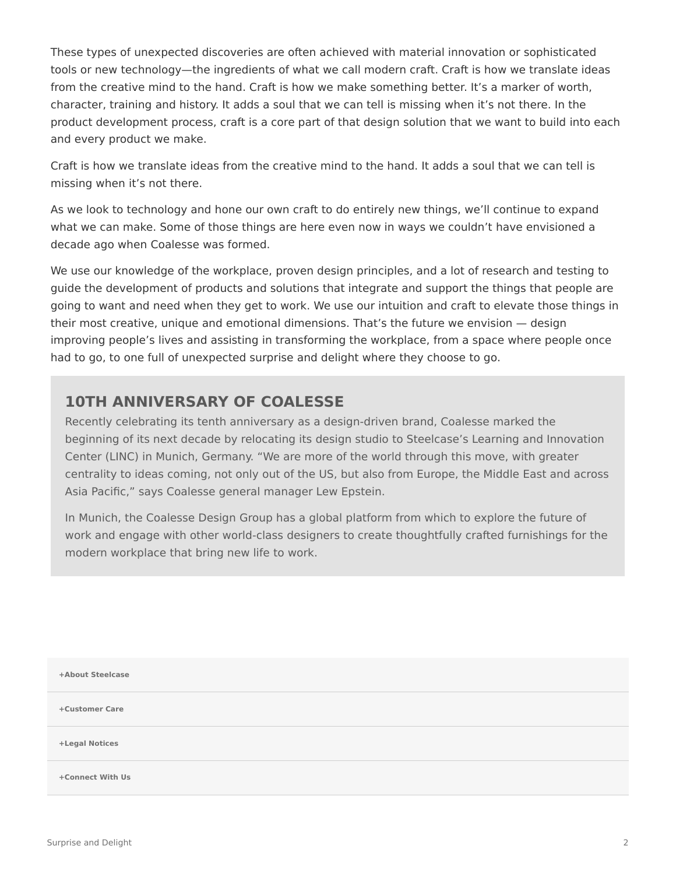These types of unexpected discoveries are often achieved with material innovation or sophisticated tools or new technology—the ingredients of what we call modern craft. Craft is how we translate ideas from the creative mind to the hand. Craft is how we make something better. It's a marker of worth, character, training and history. It adds a soul that we can tell is missing when it's not there. In the product development process, craft is a core part of that design solution that we want to build into each and every product we make.

Craft is how we translate ideas from the creative mind to the hand. It adds a soul that we can tell is missing when it's not there.

As we look to technology and hone our own craft to do entirely new things, we'll continue to expand what we can make. Some of those things are here even now in ways we couldn't have envisioned a decade ago when Coalesse was formed.

We use our knowledge of the workplace, proven design principles, and a lot of research and testing to guide the development of products and solutions that integrate and support the things that people are going to want and need when they get to work. We use our intuition and craft to elevate those things in their most creative, unique and emotional dimensions. That's the future we envision — design improving people's lives and assisting in transforming the workplace, from a space where people once had to go, to one full of unexpected surprise and delight where they choose to go.

## **10TH ANNIVERSARY OF COALESSE**

Recently celebrating its tenth anniversary as a design-driven brand, Coalesse marked the beginning of its next decade by relocating its design studio to Steelcase's Learning and Innovation Center (LINC) in Munich, Germany. "We are more of the world through this move, with greater centrality to ideas coming, not only out of the US, but also from Europe, the Middle East and across Asia Pacific," says Coalesse general manager Lew Epstein.

In Munich, the Coalesse Design Group has a global platform from which to explore the future of work and engage with other world-class designers to create thoughtfully crafted furnishings for the modern workplace that bring new life to work.

| +About Steelcase |  |
|------------------|--|
| +Customer Care   |  |
| +Legal Notices   |  |
| +Connect With Us |  |